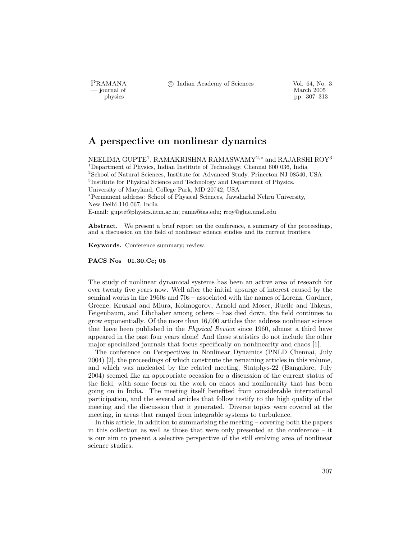PRAMANA °<sup>c</sup> Indian Academy of Sciences Vol. 64, No. 3

— journal of March 2005<br>
physics (2005) pp. 307–31: physics pp. 307–313

# A perspective on nonlinear dynamics

NEELIMA GUPTE<sup>1</sup>, RAMAKRISHNA RAMASWAMY<sup>2,\*</sup> and RAJARSHI ROY<sup>3</sup> <sup>1</sup>Department of Physics, Indian Institute of Technology, Chennai 600 036, India <sup>2</sup>School of Natural Sciences, Institute for Advanced Study, Princeton NJ 08540, USA <sup>3</sup>Institute for Physical Science and Technology and Department of Physics, University of Maryland, College Park, MD 20742, USA <sup>∗</sup>Permanent address: School of Physical Sciences, Jawaharlal Nehru University, New Delhi 110 067, India E-mail: gupte@physics.iitm.ac.in; rama@ias.edu; rroy@glue.umd.edu

Abstract. We present a brief report on the conference, a summary of the proceedings, and a discussion on the field of nonlinear science studies and its current frontiers.

Keywords. Conference summary; review.

PACS Nos 01.30.Cc; 05

The study of nonlinear dynamical systems has been an active area of research for over twenty five years now. Well after the initial upsurge of interest caused by the seminal works in the 1960s and 70s – associated with the names of Lorenz, Gardner, Greene, Kruskal and Miura, Kolmogorov, Arnold and Moser, Ruelle and Takens, Feigenbaum, and Libchaber among others – has died down, the field continues to grow exponentially. Of the more than 16,000 articles that address nonlinear science that have been published in the Physical Review since 1960, almost a third have appeared in the past four years alone! And these statistics do not include the other major specialized journals that focus specifically on nonlinearity and chaos [1].

The conference on Perspectives in Nonlinear Dynamics (PNLD Chennai, July 2004) [2], the proceedings of which constitute the remaining articles in this volume, and which was nucleated by the related meeting, Statphys-22 (Bangalore, July 2004) seemed like an appropriate occasion for a discussion of the current status of the field, with some focus on the work on chaos and nonlinearity that has been going on in India. The meeting itself benefited from considerable international participation, and the several articles that follow testify to the high quality of the meeting and the discussion that it generated. Diverse topics were covered at the meeting, in areas that ranged from integrable systems to turbulence.

In this article, in addition to summarizing the meeting – covering both the papers in this collection as well as those that were only presented at the conference – it is our aim to present a selective perspective of the still evolving area of nonlinear science studies.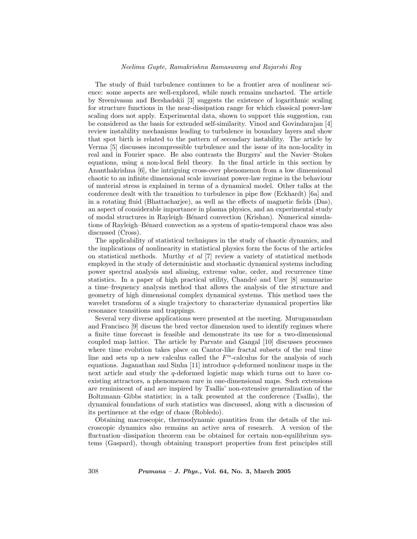## Neelima Gupte, Ramakrishna Ramaswamy and Rajarshi Roy

The study of fluid turbulence continues to be a frontier area of nonlinear science: some aspects are well-explored, while much remains uncharted. The article by Sreenivasan and Bershadskii [3] suggests the existence of logarithmic scaling for structure functions in the near-dissipation range for which classical power-law scaling does not apply. Experimental data, shown to support this suggestion, can be considered as the basis for extended self-similarity. Vinod and Govindarajan [4] review instability mechanisms leading to turbulence in boundary layers and show that spot birth is related to the pattern of secondary instability. The article by Verma [5] discusses incompressible turbulence and the issue of its non-locality in real and in Fourier space. He also contrasts the Burgers' and the Navier–Stokes equations, using a non-local field theory. In the final article in this section by Ananthakrishna [6], the intriguing cross-over phenomenon from a low dimensional chaotic to an infinite dimensional scale invariant power-law regime in the behaviour of material stress is explained in terms of a dynamical model. Other talks at the conference dealt with the transition to turbulence in pipe flow (Eckhardt) [6a] and in a rotating fluid (Bhattacharjee), as well as the effects of magnetic fields (Das), an aspect of considerable importance in plasma physics, and an experimental study of modal structures in Rayleigh–B´enard convection (Krishan). Numerical simulations of Rayleigh–Bénard convection as a system of spatio-temporal chaos was also discussed (Cross).

The applicability of statistical techniques in the study of chaotic dynamics, and the implications of nonlinearity in statistical physics form the focus of the articles on statistical methods. Murthy *et al*  $[7]$  review a variety of statistical methods employed in the study of deterministic and stochastic dynamical systems including power spectral analysis and aliasing, extreme value, order, and recurrence time statistics. In a paper of high practical utility, Chandré and Uzer  $[8]$  summarize a time–frequency analysis method that allows the analysis of the structure and geometry of high dimensional complex dynamical systems. This method uses the wavelet transform of a single trajectory to characterize dynamical properties like resonance transitions and trappings.

Several very diverse applications were presented at the meeting. Muruganandam and Francisco [9] discuss the bred vector dimension used to identify regimes where a finite time forecast is feasible and demonstrate its use for a two-dimensional coupled map lattice. The article by Parvate and Gangal [10] discusses processes where time evolution takes place on Cantor-like fractal subsets of the real time line and sets up a new calculus called the  $F^{\alpha}$ -calculus for the analysis of such equations. Jaganathan and Sinha [11] introduce q-deformed nonlinear maps in the next article and study the q-deformed logistic map which turns out to have coexisting attractors, a phenomenon rare in one-dimensional maps. Such extensions are reminiscent of and are inspired by Tsallis' non-extensive generalization of the Boltzmann–Gibbs statistics; in a talk presented at the conference (Tsallis), the dynamical foundations of such statistics was discussed, along with a discussion of its pertinence at the edge of chaos (Robledo).

Obtaining macroscopic, thermodynamic quantities from the details of the microscopic dynamics also remains an active area of research. A version of the fluctuation–dissipation theorem can be obtained for certain non-equilibrium systems (Gaspard), though obtaining transport properties from first principles still

308 Pramana – J. Phys., Vol. 64, No. 3, March 2005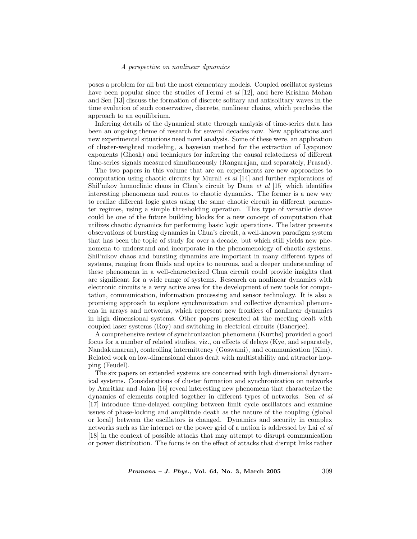## A perspective on nonlinear dynamics

poses a problem for all but the most elementary models. Coupled oscillator systems have been popular since the studies of Fermi *et al* [12], and here Krishna Mohan and Sen [13] discuss the formation of discrete solitary and antisolitary waves in the time evolution of such conservative, discrete, nonlinear chains, which precludes the approach to an equilibrium.

Inferring details of the dynamical state through analysis of time-series data has been an ongoing theme of research for several decades now. New applications and new experimental situations need novel analysis. Some of these were, an application of cluster-weighted modeling, a bayesian method for the extraction of Lyapunov exponents (Ghosh) and techniques for inferring the causal relatedness of different time-series signals measured simultaneously (Rangarajan, and separately, Prasad).

The two papers in this volume that are on experiments are new approaches to computation using chaotic circuits by Murali et al [14] and further explorations of Shil'nikov homoclinic chaos in Chua's circuit by Dana et al [15] which identifies interesting phenomena and routes to chaotic dynamics. The former is a new way to realize different logic gates using the same chaotic circuit in different parameter regimes, using a simple thresholding operation. This type of versatile device could be one of the future building blocks for a new concept of computation that utilizes chaotic dynamics for performing basic logic operations. The latter presents observations of bursting dynamics in Chua's circuit, a well-known paradigm system that has been the topic of study for over a decade, but which still yields new phenomena to understand and incorporate in the phenomenology of chaotic systems. Shil'nikov chaos and bursting dynamics are important in many different types of systems, ranging from fluids and optics to neurons, and a deeper understanding of these phenomena in a well-characterized Chua circuit could provide insights that are significant for a wide range of systems. Research on nonlinear dynamics with electronic circuits is a very active area for the development of new tools for computation, communication, information processing and sensor technology. It is also a promising approach to explore synchronization and collective dynamical phenomena in arrays and networks, which represent new frontiers of nonlinear dynamics in high dimensional systems. Other papers presented at the meeting dealt with coupled laser systems (Roy) and switching in electrical circuits (Banerjee).

A comprehensive review of synchronization phenomena (Kurths) provided a good focus for a number of related studies, viz., on effects of delays (Kye, and separately, Nandakumaran), controlling intermittency (Goswami), and communication (Kim). Related work on low-dimensional chaos dealt with multistability and attractor hopping (Feudel).

The six papers on extended systems are concerned with high dimensional dynamical systems. Considerations of cluster formation and synchronization on networks by Amritkar and Jalan [16] reveal interesting new phenomena that characterize the dynamics of elements coupled together in different types of networks. Sen et al [17] introduce time-delayed coupling between limit cycle oscillators and examine issues of phase-locking and amplitude death as the nature of the coupling (global or local) between the oscillators is changed. Dynamics and security in complex networks such as the internet or the power grid of a nation is addressed by Lai et al [18] in the context of possible attacks that may attempt to disrupt communication or power distribution. The focus is on the effect of attacks that disrupt links rather

 $Pramana - J. Phys., Vol. 64, No. 3, March 2005$  309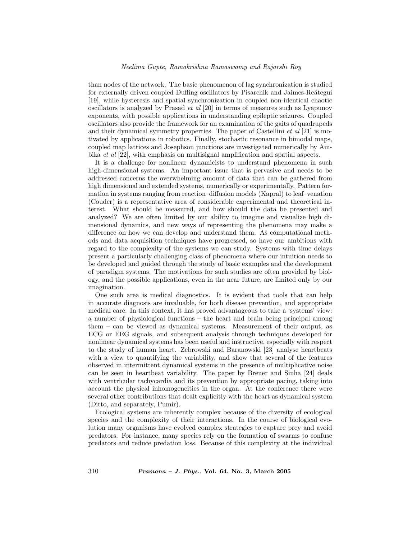## Neelima Gupte, Ramakrishna Ramaswamy and Rajarshi Roy

than nodes of the network. The basic phenomenon of lag synchronization is studied for externally driven coupled Duffing oscillators by Pisarchik and Jaimes-Reategui [19], while hysteresis and spatial synchronization in coupled non-identical chaotic oscillators is analyzed by Prasad  $et$  al  $[20]$  in terms of measures such as Lyapunov exponents, with possible applications in understanding epileptic seizures. Coupled oscillators also provide the framework for an examination of the gaits of quadrupeds and their dynamical symmetry properties. The paper of Castellini  $et \ al \ [21]$  is motivated by applications in robotics. Finally, stochastic resonance in bimodal maps, coupled map lattices and Josephson junctions are investigated numerically by Ambika et al [22], with emphasis on multisignal amplification and spatial aspects.

It is a challenge for nonlinear dynamicists to understand phenomena in such high-dimensional systems. An important issue that is pervasive and needs to be addressed concerns the overwhelming amount of data that can be gathered from high dimensional and extended systems, numerically or experimentally. Pattern formation in systems ranging from reaction–diffusion models (Kapral) to leaf–venation (Couder) is a representative area of considerable experimental and theoretical interest. What should be measured, and how should the data be presented and analyzed? We are often limited by our ability to imagine and visualize high dimensional dynamics, and new ways of representing the phenomena may make a difference on how we can develop and understand them. As computational methods and data acquisition techniques have progressed, so have our ambitions with regard to the complexity of the systems we can study. Systems with time delays present a particularly challenging class of phenomena where our intuition needs to be developed and guided through the study of basic examples and the development of paradigm systems. The motivations for such studies are often provided by biology, and the possible applications, even in the near future, are limited only by our imagination.

One such area is medical diagnostics. It is evident that tools that can help in accurate diagnosis are invaluable, for both disease prevention, and appropriate medical care. In this context, it has proved advantageous to take a 'systems' view: a number of physiological functions – the heart and brain being principal among them – can be viewed as dynamical systems. Measurement of their output, as ECG or EEG signals, and subsequent analysis through techniques developed for nonlinear dynamical systems has been useful and instructive, especially with respect to the study of human heart. Zebrowski and Baranowski [23] analyse heartbeats with a view to quantifying the variability, and show that several of the features observed in intermittent dynamical systems in the presence of multiplicative noise can be seen in heartbeat variability. The paper by Breuer and Sinha [24] deals with ventricular tachycardia and its prevention by appropriate pacing, taking into account the physical inhomogeneities in the organ. At the conference there were several other contributions that dealt explicitly with the heart as dynamical system (Ditto, and separately, Pumir).

Ecological systems are inherently complex because of the diversity of ecological species and the complexity of their interactions. In the course of biological evolution many organisms have evolved complex strategies to capture prey and avoid predators. For instance, many species rely on the formation of swarms to confuse predators and reduce predation loss. Because of this complexity at the individual

310 Pramana – J. Phys., Vol. 64, No. 3, March 2005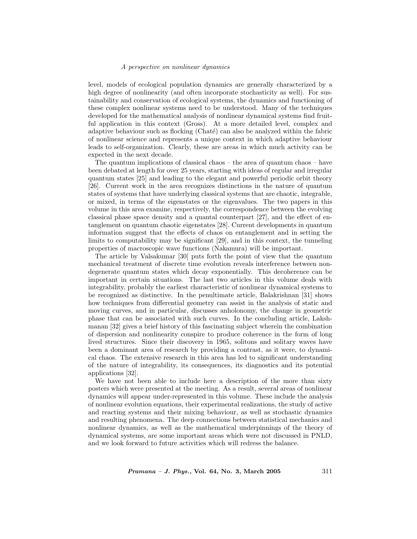#### A perspective on nonlinear dynamics

level, models of ecological population dynamics are generally characterized by a high degree of nonlinearity (and often incorporate stochasticity as well). For sustainability and conservation of ecological systems, the dynamics and functioning of these complex nonlinear systems need to be understood. Many of the techniques developed for the mathematical analysis of nonlinear dynamical systems find fruitful application in this context (Gross). At a more detailed level, complex and adaptive behaviour such as flocking  $(Chaté)$  can also be analyzed within the fabric of nonlinear science and represents a unique context in which adaptive behaviour leads to self-organization. Clearly, these are areas in which much activity can be expected in the next decade.

The quantum implications of classical chaos – the area of quantum chaos – have been debated at length for over 25 years, starting with ideas of regular and irregular quantum states [25] and leading to the elegant and powerful periodic orbit theory [26]. Current work in the area recognizes distinctions in the nature of quantum states of systems that have underlying classical systems that are chaotic, integrable, or mixed, in terms of the eigenstates or the eigenvalues. The two papers in this volume in this area examine, respectively, the correspondence between the evolving classical phase space density and a quantal counterpart [27], and the effect of entanglement on quantum chaotic eigenstates [28]. Current developments in quantum information suggest that the effects of chaos on entanglement and in setting the limits to computability may be significant [29], and in this context, the tunneling properties of macroscopic wave functions (Nakamura) will be important.

The article by Valsakumar [30] puts forth the point of view that the quantum mechanical treatment of discrete time evolution reveals interference between nondegenerate quantum states which decay exponentially. This decoherence can be important in certain situations. The last two articles in this volume deals with integrability, probably the earliest characteristic of nonlinear dynamical systems to be recognized as distinctive. In the penultimate article, Balakrishnan [31] shows how techniques from differential geometry can assist in the analysis of static and moving curves, and in particular, discusses anholonomy, the change in geometric phase that can be associated with such curves. In the concluding article, Lakshmanan [32] gives a brief history of this fascinating subject wherein the combination of dispersion and nonlinearity conspire to produce coherence in the form of long lived structures. Since their discovery in 1965, solitons and solitary waves have been a dominant area of research by providing a contrast, as it were, to dynamical chaos. The extensive research in this area has led to significant understanding of the nature of integrability, its consequences, its diagnostics and its potential applications [32].

We have not been able to include here a description of the more than sixty posters which were presented at the meeting. As a result, several areas of nonlinear dynamics will appear under-represented in this volume. These include the analysis of nonlinear evolution equations, their experimental realizations, the study of active and reacting systems and their mixing behaviour, as well as stochastic dynamics and resulting phenomena. The deep connections between statistical mechanics and nonlinear dynamics, as well as the mathematical underpinnings of the theory of dynamical systems, are some important areas which were not discussed in PNLD, and we look forward to future activities which will redress the balance.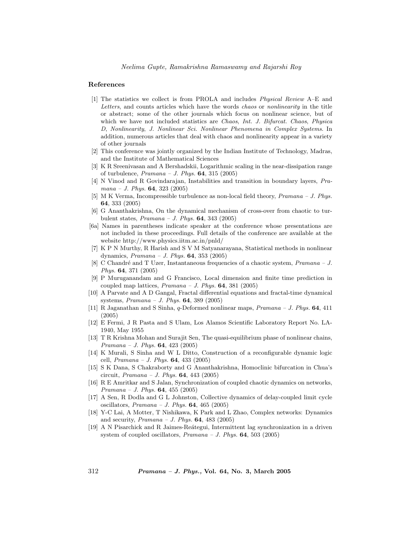# References

- [1] The statistics we collect is from PROLA and includes Physical Review A–E and Letters, and counts articles which have the words *chaos* or *nonlinearity* in the title or abstract; some of the other journals which focus on nonlinear science, but of which we have not included statistics are *Chaos*, *Int. J. Bifurcat. Chaos, Physica* D, Nonlinearity, J. Nonlinear Sci. Nonlinear Phenomena in Complex Systems. In addition, numerous articles that deal with chaos and nonlinearity appear in a variety of other journals
- [2] This conference was jointly organized by the Indian Institute of Technology, Madras, and the Institute of Mathematical Sciences
- [3] K R Sreenivasan and A Bershadskii, Logarithmic scaling in the near-dissipation range of turbulence,  $Pramana - J$ . Phys. **64**, 315 (2005)
- [4] N Vinod and R Govindarajan, Instabilities and transition in boundary layers, Pra $mana - J. Phys. 64, 323 (2005)$
- [5] M K Verma, Incompressible turbulence as non-local field theory, Pramana J. Phys. 64, 333 (2005)
- [6] G Ananthakrishna, On the dynamical mechanism of cross-over from chaotic to turbulent states,  $Pramana - J$ . Phys. **64**, 343 (2005)
- [6a] Names in parentheses indicate speaker at the conference whose presentations are not included in these proceedings. Full details of the conference are available at the website http://www.physics.iitm.ac.in/pnld/
- [7] K P N Murthy, R Harish and S V M Satyanarayana, Statistical methods in nonlinear dynamics,  $Pramana - J$ . Phys. **64**, 353 (2005)
- [8] C Chandré and T Uzer, Instantaneous frequencies of a chaotic system,  $Pramana J$ . Phys. 64, 371 (2005)
- [9] P Muruganandam and G Francisco, Local dimension and finite time prediction in coupled map lattices,  $Pramana - J$ . Phys. **64**, 381 (2005)
- [10] A Parvate and A D Gangal, Fractal differential equations and fractal-time dynamical systems,  $Pramana - J. Phys. 64, 389 (2005)$
- [11] R Jaganathan and S Sinha, q-Deformed nonlinear maps, Pramana J. Phys. 64, 411 (2005)
- [12] E Fermi, J R Pasta and S Ulam, Los Alamos Scientific Laboratory Report No. LA-1940, May 1955
- [13] T R Krishna Mohan and Surajit Sen, The quasi-equilibrium phase of nonlinear chains, *Pramana – J. Phys.* **64**, 423 (2005)
- [14] K Murali, S Sinha and W L Ditto, Construction of a reconfigurable dynamic logic cell, *Pramana – J. Phys.* **64**, 433 (2005)
- [15] S K Dana, S Chakraborty and G Ananthakrishna, Homoclinic bifurcation in Chua's circuit, *Pramana – J. Phys.* **64**, 443 (2005)
- [16] R E Amritkar and S Jalan, Synchronization of coupled chaotic dynamics on networks, *Pramana – J. Phys.* **64**, 455 (2005)
- [17] A Sen, R Dodla and G L Johnston, Collective dynamics of delay-coupled limit cycle oscillators, Pramana – J. Phys.  $64$ ,  $465$  (2005)
- [18] Y-C Lai, A Motter, T Nishikawa, K Park and L Zhao, Complex networks: Dynamics and security,  $Pramana - J$ . Phys. **64**, 483 (2005)
- [19] A N Pisarchick and R Jaimes-Reátegui, Intermittent lag synchronization in a driven system of coupled oscillators,  $Pramana - J$ . Phys. **64**, 503 (2005)